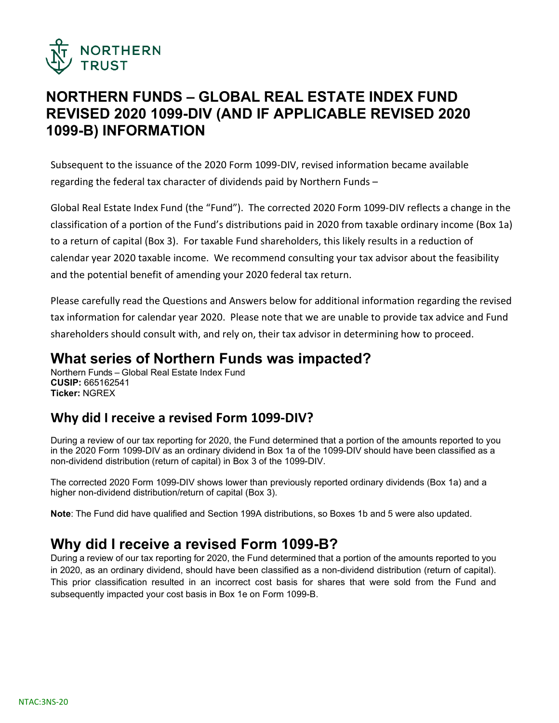

# **NORTHERN FUNDS – GLOBAL REAL ESTATE INDEX FUND REVISED 2020 1099-DIV (AND IF APPLICABLE REVISED 2020 1099-B) INFORMATION**

Subsequent to the issuance of the 2020 Form 1099-DIV, revised information became available regarding the federal tax character of dividends paid by Northern Funds –

Global Real Estate Index Fund (the "Fund"). The corrected 2020 Form 1099-DIV reflects a change in the classification of a portion of the Fund's distributions paid in 2020 from taxable ordinary income (Box 1a) to a return of capital (Box 3). For taxable Fund shareholders, this likely results in a reduction of calendar year 2020 taxable income. We recommend consulting your tax advisor about the feasibility and the potential benefit of amending your 2020 federal tax return.

Please carefully read the Questions and Answers below for additional information regarding the revised tax information for calendar year 2020. Please note that we are unable to provide tax advice and Fund shareholders should consult with, and rely on, their tax advisor in determining how to proceed.

### **What series of Northern Funds was impacted?**

Northern Funds – Global Real Estate Index Fund **CUSIP:** 665162541 **Ticker:** NGREX

### **Why did I receive a revised Form 1099-DIV?**

During a review of our tax reporting for 2020, the Fund determined that a portion of the amounts reported to you in the 2020 Form 1099-DIV as an ordinary dividend in Box 1a of the 1099-DIV should have been classified as a non-dividend distribution (return of capital) in Box 3 of the 1099-DIV.

The corrected 2020 Form 1099-DIV shows lower than previously reported ordinary dividends (Box 1a) and a higher non-dividend distribution/return of capital (Box 3).

**Note**: The Fund did have qualified and Section 199A distributions, so Boxes 1b and 5 were also updated.

# **Why did I receive a revised Form 1099-B?**

During a review of our tax reporting for 2020, the Fund determined that a portion of the amounts reported to you in 2020, as an ordinary dividend, should have been classified as a non-dividend distribution (return of capital). This prior classification resulted in an incorrect cost basis for shares that were sold from the Fund and subsequently impacted your cost basis in Box 1e on Form 1099-B.